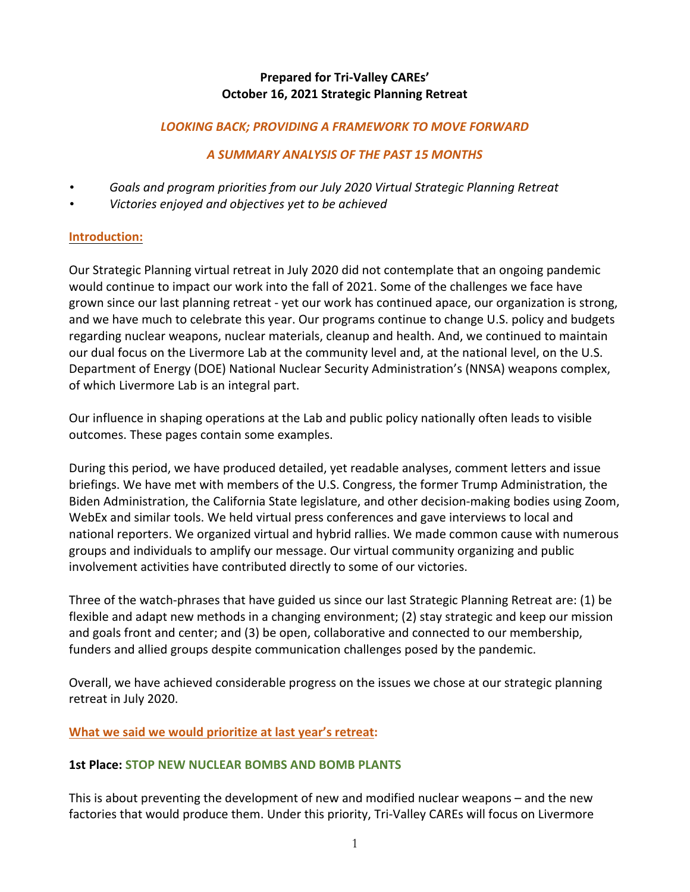# **Prepared for Tri-Valley CAREs' October 16, 2021 Strategic Planning Retreat**

### LOOKING BACK; PROVIDING A FRAMEWORK TO MOVE FORWARD

## *A SUMMARY ANALYSIS OF THE PAST 15 MONTHS*

- *Goals and program priorities from our July 2020 Virtual Strategic Planning Retreat*
- *• Victories enjoyed and objectives yet to be achieved*

#### **Introduction:**

Our Strategic Planning virtual retreat in July 2020 did not contemplate that an ongoing pandemic would continue to impact our work into the fall of 2021. Some of the challenges we face have grown since our last planning retreat - yet our work has continued apace, our organization is strong, and we have much to celebrate this year. Our programs continue to change U.S. policy and budgets regarding nuclear weapons, nuclear materials, cleanup and health. And, we continued to maintain our dual focus on the Livermore Lab at the community level and, at the national level, on the U.S. Department of Energy (DOE) National Nuclear Security Administration's (NNSA) weapons complex, of which Livermore Lab is an integral part.

Our influence in shaping operations at the Lab and public policy nationally often leads to visible outcomes. These pages contain some examples.

During this period, we have produced detailed, yet readable analyses, comment letters and issue briefings. We have met with members of the U.S. Congress, the former Trump Administration, the Biden Administration, the California State legislature, and other decision-making bodies using Zoom, WebEx and similar tools. We held virtual press conferences and gave interviews to local and national reporters. We organized virtual and hybrid rallies. We made common cause with numerous groups and individuals to amplify our message. Our virtual community organizing and public involvement activities have contributed directly to some of our victories.

Three of the watch-phrases that have guided us since our last Strategic Planning Retreat are: (1) be flexible and adapt new methods in a changing environment; (2) stay strategic and keep our mission and goals front and center; and (3) be open, collaborative and connected to our membership, funders and allied groups despite communication challenges posed by the pandemic.

Overall, we have achieved considerable progress on the issues we chose at our strategic planning retreat in July 2020.

## **What we said we would prioritize at last year's retreat:**

#### **1st Place: STOP NEW NUCLEAR BOMBS AND BOMB PLANTS**

This is about preventing the development of new and modified nuclear weapons  $-$  and the new factories that would produce them. Under this priority, Tri-Valley CAREs will focus on Livermore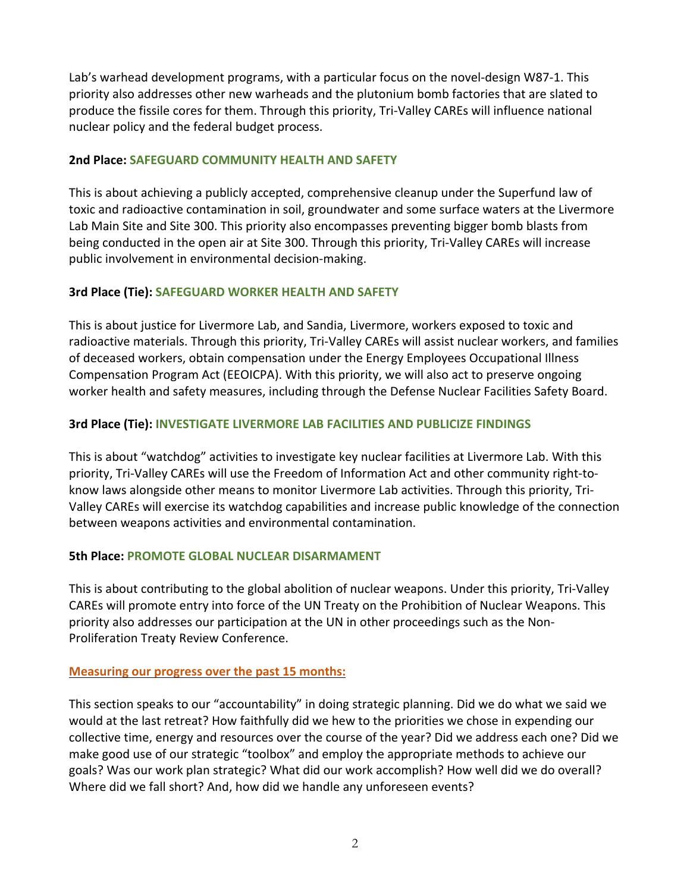Lab's warhead development programs, with a particular focus on the novel-design W87-1. This priority also addresses other new warheads and the plutonium bomb factories that are slated to produce the fissile cores for them. Through this priority, Tri-Valley CAREs will influence national nuclear policy and the federal budget process.

### **2nd Place: SAFEGUARD COMMUNITY HEALTH AND SAFETY**

This is about achieving a publicly accepted, comprehensive cleanup under the Superfund law of toxic and radioactive contamination in soil, groundwater and some surface waters at the Livermore Lab Main Site and Site 300. This priority also encompasses preventing bigger bomb blasts from being conducted in the open air at Site 300. Through this priority, Tri-Valley CAREs will increase public involvement in environmental decision-making.

## **3rd Place (Tie): SAFEGUARD WORKER HEALTH AND SAFETY**

This is about justice for Livermore Lab, and Sandia, Livermore, workers exposed to toxic and radioactive materials. Through this priority, Tri-Valley CAREs will assist nuclear workers, and families of deceased workers, obtain compensation under the Energy Employees Occupational Illness Compensation Program Act (EEOICPA). With this priority, we will also act to preserve ongoing worker health and safety measures, including through the Defense Nuclear Facilities Safety Board.

# **3rd Place (Tie): INVESTIGATE LIVERMORE LAB FACILITIES AND PUBLICIZE FINDINGS**

This is about "watchdog" activities to investigate key nuclear facilities at Livermore Lab. With this priority, Tri-Valley CAREs will use the Freedom of Information Act and other community right-toknow laws alongside other means to monitor Livermore Lab activities. Through this priority, Tri-Valley CAREs will exercise its watchdog capabilities and increase public knowledge of the connection between weapons activities and environmental contamination.

## **5th Place: PROMOTE GLOBAL NUCLEAR DISARMAMENT**

This is about contributing to the global abolition of nuclear weapons. Under this priority, Tri-Valley CAREs will promote entry into force of the UN Treaty on the Prohibition of Nuclear Weapons. This priority also addresses our participation at the UN in other proceedings such as the Non-Proliferation Treaty Review Conference.

## **Measuring our progress over the past 15 months:**

This section speaks to our "accountability" in doing strategic planning. Did we do what we said we would at the last retreat? How faithfully did we hew to the priorities we chose in expending our collective time, energy and resources over the course of the year? Did we address each one? Did we make good use of our strategic "toolbox" and employ the appropriate methods to achieve our goals? Was our work plan strategic? What did our work accomplish? How well did we do overall? Where did we fall short? And, how did we handle any unforeseen events?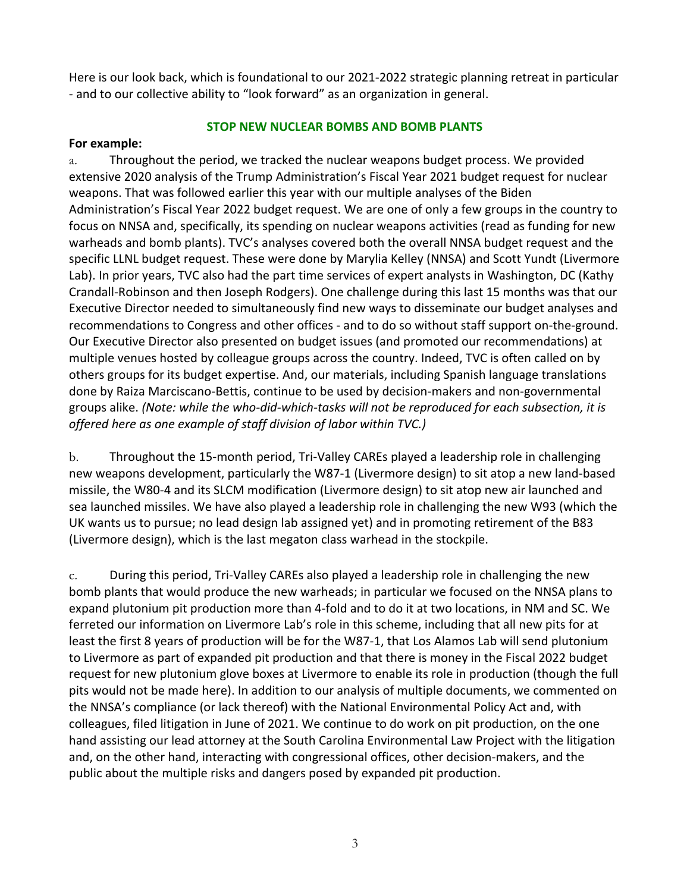Here is our look back, which is foundational to our 2021-2022 strategic planning retreat in particular - and to our collective ability to "look forward" as an organization in general.

### **STOP NEW NUCLEAR BOMBS AND BOMB PLANTS**

#### **For example:**

a. Throughout the period, we tracked the nuclear weapons budget process. We provided extensive 2020 analysis of the Trump Administration's Fiscal Year 2021 budget request for nuclear weapons. That was followed earlier this year with our multiple analyses of the Biden Administration's Fiscal Year 2022 budget request. We are one of only a few groups in the country to focus on NNSA and, specifically, its spending on nuclear weapons activities (read as funding for new warheads and bomb plants). TVC's analyses covered both the overall NNSA budget request and the specific LLNL budget request. These were done by Marylia Kelley (NNSA) and Scott Yundt (Livermore Lab). In prior years, TVC also had the part time services of expert analysts in Washington, DC (Kathy Crandall-Robinson and then Joseph Rodgers). One challenge during this last 15 months was that our Executive Director needed to simultaneously find new ways to disseminate our budget analyses and recommendations to Congress and other offices - and to do so without staff support on-the-ground. Our Executive Director also presented on budget issues (and promoted our recommendations) at multiple venues hosted by colleague groups across the country. Indeed, TVC is often called on by others groups for its budget expertise. And, our materials, including Spanish language translations done by Raiza Marciscano-Bettis, continue to be used by decision-makers and non-governmental groups alike. (Note: while the who-did-which-tasks will not be reproduced for each subsection, it is *offered here as one example of staff division of labor within TVC.)*

b. Throughout the 15-month period, Tri-Valley CAREs played a leadership role in challenging new weapons development, particularly the W87-1 (Livermore design) to sit atop a new land-based missile, the W80-4 and its SLCM modification (Livermore design) to sit atop new air launched and sea launched missiles. We have also played a leadership role in challenging the new W93 (which the UK wants us to pursue; no lead design lab assigned yet) and in promoting retirement of the B83 (Livermore design), which is the last megaton class warhead in the stockpile.

c. During this period, Tri-Valley CAREs also played a leadership role in challenging the new bomb plants that would produce the new warheads; in particular we focused on the NNSA plans to expand plutonium pit production more than 4-fold and to do it at two locations, in NM and SC. We ferreted our information on Livermore Lab's role in this scheme, including that all new pits for at least the first 8 years of production will be for the W87-1, that Los Alamos Lab will send plutonium to Livermore as part of expanded pit production and that there is money in the Fiscal 2022 budget request for new plutonium glove boxes at Livermore to enable its role in production (though the full pits would not be made here). In addition to our analysis of multiple documents, we commented on the NNSA's compliance (or lack thereof) with the National Environmental Policy Act and, with colleagues, filed litigation in June of 2021. We continue to do work on pit production, on the one hand assisting our lead attorney at the South Carolina Environmental Law Project with the litigation and, on the other hand, interacting with congressional offices, other decision-makers, and the public about the multiple risks and dangers posed by expanded pit production.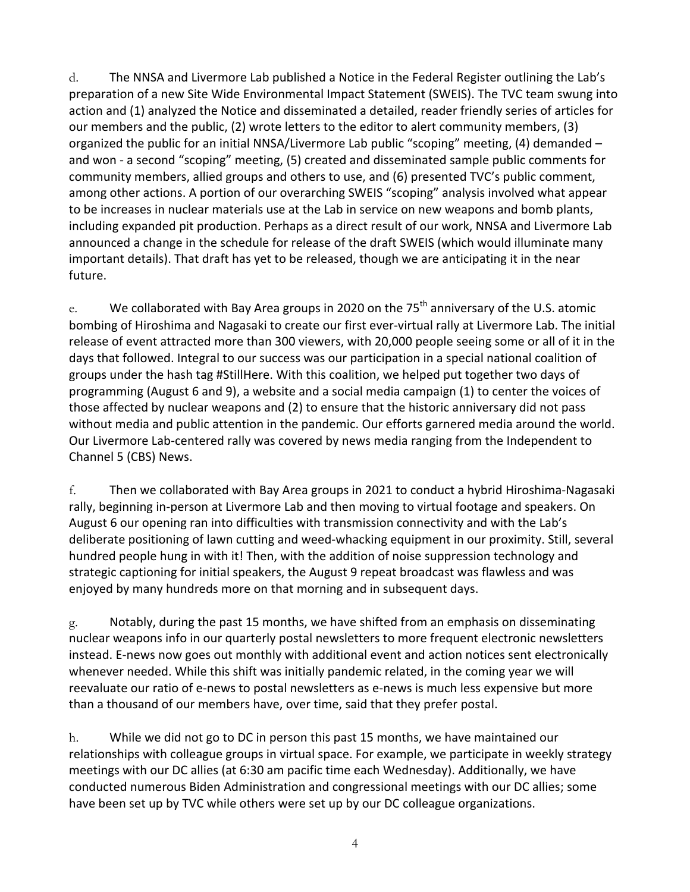d. The NNSA and Livermore Lab published a Notice in the Federal Register outlining the Lab's preparation of a new Site Wide Environmental Impact Statement (SWEIS). The TVC team swung into action and (1) analyzed the Notice and disseminated a detailed, reader friendly series of articles for our members and the public, (2) wrote letters to the editor to alert community members, (3) organized the public for an initial NNSA/Livermore Lab public "scoping" meeting, (4) demanded  $$ and won - a second "scoping" meeting, (5) created and disseminated sample public comments for community members, allied groups and others to use, and (6) presented TVC's public comment, among other actions. A portion of our overarching SWEIS "scoping" analysis involved what appear to be increases in nuclear materials use at the Lab in service on new weapons and bomb plants, including expanded pit production. Perhaps as a direct result of our work, NNSA and Livermore Lab announced a change in the schedule for release of the draft SWEIS (which would illuminate many important details). That draft has yet to be released, though we are anticipating it in the near future. 

e. We collaborated with Bay Area groups in 2020 on the  $75<sup>th</sup>$  anniversary of the U.S. atomic bombing of Hiroshima and Nagasaki to create our first ever-virtual rally at Livermore Lab. The initial release of event attracted more than 300 viewers, with 20,000 people seeing some or all of it in the days that followed. Integral to our success was our participation in a special national coalition of groups under the hash tag #StillHere. With this coalition, we helped put together two days of programming (August 6 and 9), a website and a social media campaign (1) to center the voices of those affected by nuclear weapons and (2) to ensure that the historic anniversary did not pass without media and public attention in the pandemic. Our efforts garnered media around the world. Our Livermore Lab-centered rally was covered by news media ranging from the Independent to Channel 5 (CBS) News.

f. Then we collaborated with Bay Area groups in 2021 to conduct a hybrid Hiroshima-Nagasaki rally, beginning in-person at Livermore Lab and then moving to virtual footage and speakers. On August 6 our opening ran into difficulties with transmission connectivity and with the Lab's deliberate positioning of lawn cutting and weed-whacking equipment in our proximity. Still, several hundred people hung in with it! Then, with the addition of noise suppression technology and strategic captioning for initial speakers, the August 9 repeat broadcast was flawless and was enjoyed by many hundreds more on that morning and in subsequent days.

 $g.$  Notably, during the past 15 months, we have shifted from an emphasis on disseminating nuclear weapons info in our quarterly postal newsletters to more frequent electronic newsletters instead. E-news now goes out monthly with additional event and action notices sent electronically whenever needed. While this shift was initially pandemic related, in the coming year we will reevaluate our ratio of e-news to postal newsletters as e-news is much less expensive but more than a thousand of our members have, over time, said that they prefer postal.

h. While we did not go to DC in person this past 15 months, we have maintained our relationships with colleague groups in virtual space. For example, we participate in weekly strategy meetings with our DC allies (at 6:30 am pacific time each Wednesday). Additionally, we have conducted numerous Biden Administration and congressional meetings with our DC allies; some have been set up by TVC while others were set up by our DC colleague organizations.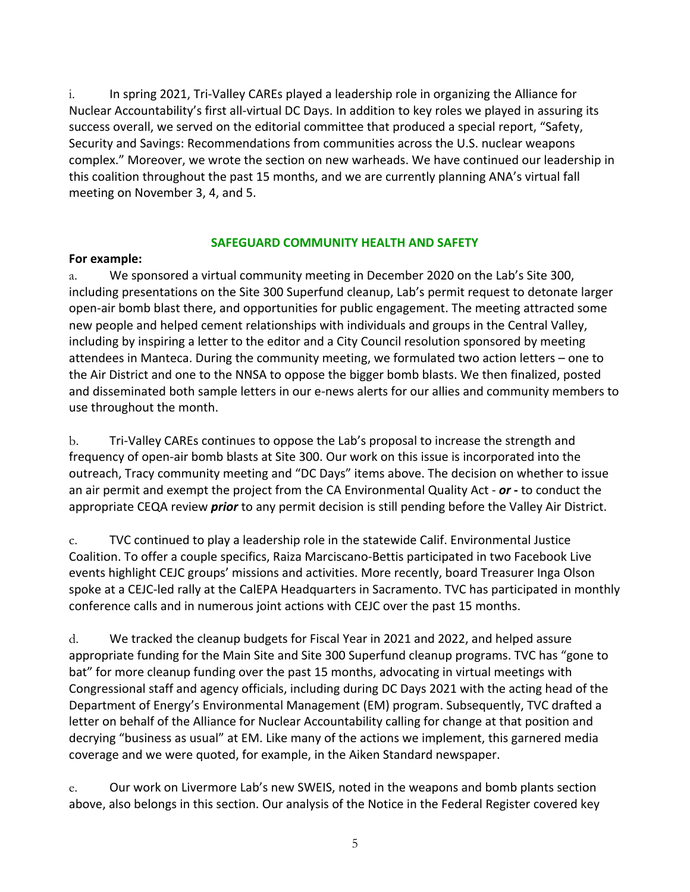$i.$  In spring 2021, Tri-Valley CAREs played a leadership role in organizing the Alliance for Nuclear Accountability's first all-virtual DC Days. In addition to key roles we played in assuring its success overall, we served on the editorial committee that produced a special report, "Safety, Security and Savings: Recommendations from communities across the U.S. nuclear weapons complex." Moreover, we wrote the section on new warheads. We have continued our leadership in this coalition throughout the past 15 months, and we are currently planning ANA's virtual fall meeting on November 3, 4, and 5.

#### **SAFEGUARD COMMUNITY HEALTH AND SAFETY**

#### **For example:**

a. We sponsored a virtual community meeting in December 2020 on the Lab's Site 300, including presentations on the Site 300 Superfund cleanup, Lab's permit request to detonate larger open-air bomb blast there, and opportunities for public engagement. The meeting attracted some new people and helped cement relationships with individuals and groups in the Central Valley, including by inspiring a letter to the editor and a City Council resolution sponsored by meeting attendees in Manteca. During the community meeting, we formulated two action letters – one to the Air District and one to the NNSA to oppose the bigger bomb blasts. We then finalized, posted and disseminated both sample letters in our e-news alerts for our allies and community members to use throughout the month.

b. Tri-Valley CAREs continues to oppose the Lab's proposal to increase the strength and frequency of open-air bomb blasts at Site 300. Our work on this issue is incorporated into the outreach, Tracy community meeting and "DC Days" items above. The decision on whether to issue an air permit and exempt the project from the CA Environmental Quality Act - or - to conduct the appropriate CEQA review *prior* to any permit decision is still pending before the Valley Air District.

c. TVC continued to play a leadership role in the statewide Calif. Environmental Justice Coalition. To offer a couple specifics, Raiza Marciscano-Bettis participated in two Facebook Live events highlight CEJC groups' missions and activities. More recently, board Treasurer Inga Olson spoke at a CEJC-led rally at the CalEPA Headquarters in Sacramento. TVC has participated in monthly conference calls and in numerous joint actions with CEJC over the past 15 months.

d. We tracked the cleanup budgets for Fiscal Year in 2021 and 2022, and helped assure appropriate funding for the Main Site and Site 300 Superfund cleanup programs. TVC has "gone to bat" for more cleanup funding over the past 15 months, advocating in virtual meetings with Congressional staff and agency officials, including during DC Days 2021 with the acting head of the Department of Energy's Environmental Management (EM) program. Subsequently, TVC drafted a letter on behalf of the Alliance for Nuclear Accountability calling for change at that position and decrying "business as usual" at EM. Like many of the actions we implement, this garnered media coverage and we were quoted, for example, in the Aiken Standard newspaper.

e. Our work on Livermore Lab's new SWEIS, noted in the weapons and bomb plants section above, also belongs in this section. Our analysis of the Notice in the Federal Register covered key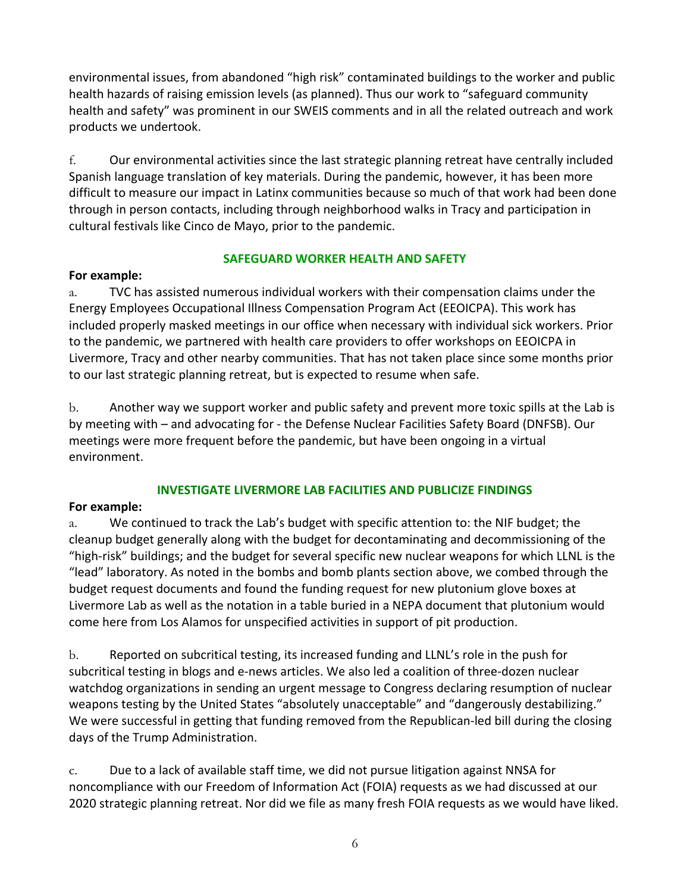environmental issues, from abandoned "high risk" contaminated buildings to the worker and public health hazards of raising emission levels (as planned). Thus our work to "safeguard community health and safety" was prominent in our SWEIS comments and in all the related outreach and work products we undertook.

f. Our environmental activities since the last strategic planning retreat have centrally included Spanish language translation of key materials. During the pandemic, however, it has been more difficult to measure our impact in Latinx communities because so much of that work had been done through in person contacts, including through neighborhood walks in Tracy and participation in cultural festivals like Cinco de Mayo, prior to the pandemic.

## **SAFEGUARD WORKER HEALTH AND SAFETY**

## **For example:**

a. TVC has assisted numerous individual workers with their compensation claims under the Energy Employees Occupational Illness Compensation Program Act (EEOICPA). This work has included properly masked meetings in our office when necessary with individual sick workers. Prior to the pandemic, we partnered with health care providers to offer workshops on EEOICPA in Livermore, Tracy and other nearby communities. That has not taken place since some months prior to our last strategic planning retreat, but is expected to resume when safe.

b. Another way we support worker and public safety and prevent more toxic spills at the Lab is by meeting with – and advocating for - the Defense Nuclear Facilities Safety Board (DNFSB). Our meetings were more frequent before the pandemic, but have been ongoing in a virtual environment. 

## **INVESTIGATE LIVERMORE LAB FACILITIES AND PUBLICIZE FINDINGS**

## **For example:**

a. We continued to track the Lab's budget with specific attention to: the NIF budget; the cleanup budget generally along with the budget for decontaminating and decommissioning of the "high-risk" buildings; and the budget for several specific new nuclear weapons for which LLNL is the "lead" laboratory. As noted in the bombs and bomb plants section above, we combed through the budget request documents and found the funding request for new plutonium glove boxes at Livermore Lab as well as the notation in a table buried in a NEPA document that plutonium would come here from Los Alamos for unspecified activities in support of pit production.

b. Reported on subcritical testing, its increased funding and LLNL's role in the push for subcritical testing in blogs and e-news articles. We also led a coalition of three-dozen nuclear watchdog organizations in sending an urgent message to Congress declaring resumption of nuclear weapons testing by the United States "absolutely unacceptable" and "dangerously destabilizing." We were successful in getting that funding removed from the Republican-led bill during the closing days of the Trump Administration.

c. Due to a lack of available staff time, we did not pursue litigation against NNSA for noncompliance with our Freedom of Information Act (FOIA) requests as we had discussed at our 2020 strategic planning retreat. Nor did we file as many fresh FOIA requests as we would have liked.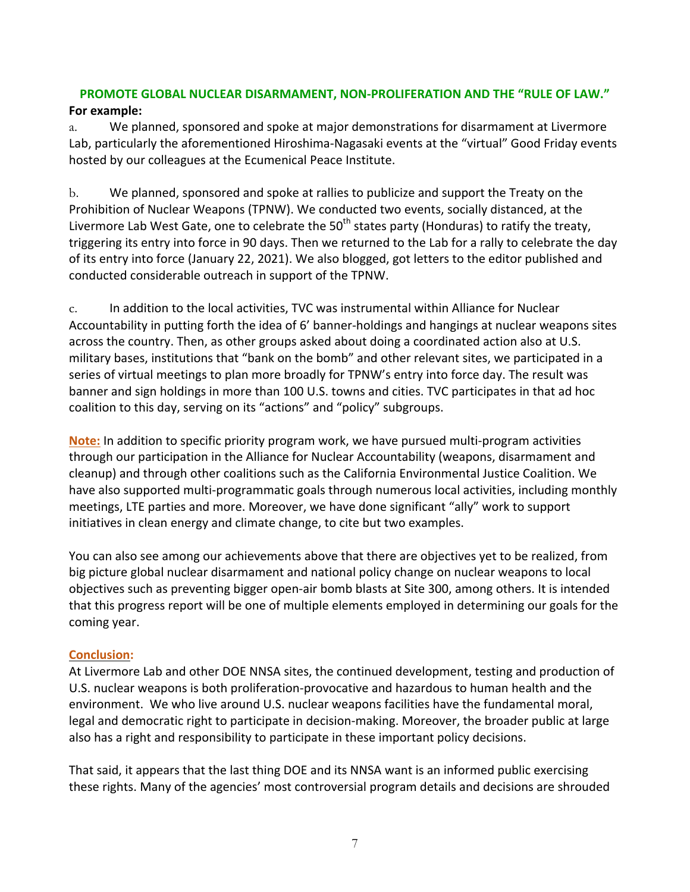# **PROMOTE GLOBAL NUCLEAR DISARMAMENT, NON-PROLIFERATION AND THE "RULE OF LAW."**

## **For example:**

a. We planned, sponsored and spoke at major demonstrations for disarmament at Livermore Lab, particularly the aforementioned Hiroshima-Nagasaki events at the "virtual" Good Friday events hosted by our colleagues at the Ecumenical Peace Institute.

b. We planned, sponsored and spoke at rallies to publicize and support the Treaty on the Prohibition of Nuclear Weapons (TPNW). We conducted two events, socially distanced, at the Livermore Lab West Gate, one to celebrate the  $50<sup>th</sup>$  states party (Honduras) to ratify the treaty, triggering its entry into force in 90 days. Then we returned to the Lab for a rally to celebrate the day of its entry into force (January 22, 2021). We also blogged, got letters to the editor published and conducted considerable outreach in support of the TPNW.

c. In addition to the local activities, TVC was instrumental within Alliance for Nuclear Accountability in putting forth the idea of 6' banner-holdings and hangings at nuclear weapons sites across the country. Then, as other groups asked about doing a coordinated action also at U.S. military bases, institutions that "bank on the bomb" and other relevant sites, we participated in a series of virtual meetings to plan more broadly for TPNW's entry into force day. The result was banner and sign holdings in more than 100 U.S. towns and cities. TVC participates in that ad hoc coalition to this day, serving on its "actions" and "policy" subgroups.

**Note:** In addition to specific priority program work, we have pursued multi-program activities through our participation in the Alliance for Nuclear Accountability (weapons, disarmament and cleanup) and through other coalitions such as the California Environmental Justice Coalition. We have also supported multi-programmatic goals through numerous local activities, including monthly meetings, LTE parties and more. Moreover, we have done significant "ally" work to support initiatives in clean energy and climate change, to cite but two examples.

You can also see among our achievements above that there are objectives yet to be realized, from big picture global nuclear disarmament and national policy change on nuclear weapons to local objectives such as preventing bigger open-air bomb blasts at Site 300, among others. It is intended that this progress report will be one of multiple elements employed in determining our goals for the coming year.

## **Conclusion:**

At Livermore Lab and other DOE NNSA sites, the continued development, testing and production of U.S. nuclear weapons is both proliferation-provocative and hazardous to human health and the environment. We who live around U.S. nuclear weapons facilities have the fundamental moral, legal and democratic right to participate in decision-making. Moreover, the broader public at large also has a right and responsibility to participate in these important policy decisions.

That said, it appears that the last thing DOE and its NNSA want is an informed public exercising these rights. Many of the agencies' most controversial program details and decisions are shrouded